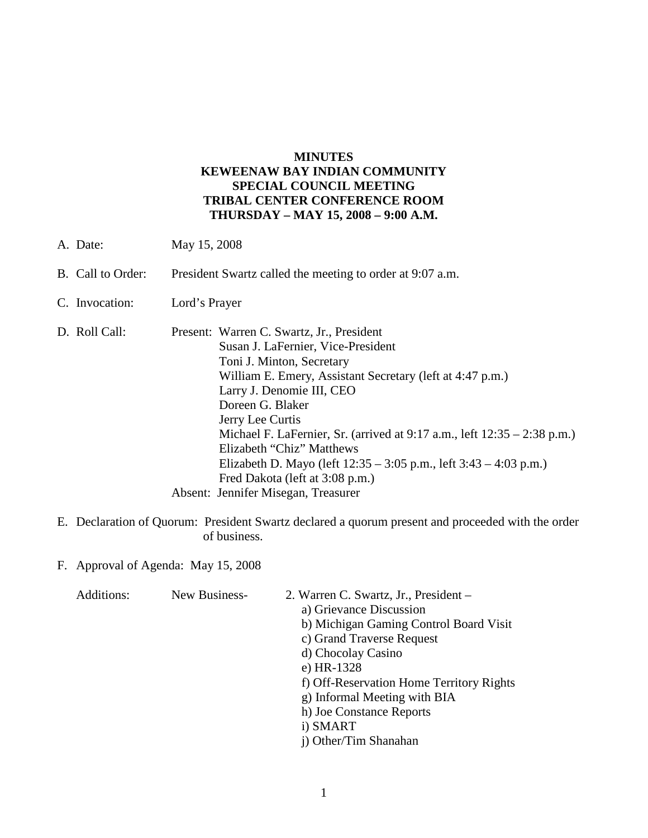## **MINUTES KEWEENAW BAY INDIAN COMMUNITY SPECIAL COUNCIL MEETING TRIBAL CENTER CONFERENCE ROOM THURSDAY – MAY 15, 2008 – 9:00 A.M.**

- A. Date: May 15, 2008
- B. Call to Order: President Swartz called the meeting to order at 9:07 a.m.
- C. Invocation: Lord's Prayer
- D. Roll Call: Present: Warren C. Swartz, Jr., President Susan J. LaFernier, Vice-President Toni J. Minton, Secretary William E. Emery, Assistant Secretary (left at 4:47 p.m.) Larry J. Denomie III, CEO Doreen G. Blaker Jerry Lee Curtis Michael F. LaFernier, Sr. (arrived at 9:17 a.m., left 12:35 – 2:38 p.m.) Elizabeth "Chiz" Matthews Elizabeth D. Mayo (left 12:35 – 3:05 p.m., left 3:43 – 4:03 p.m.) Fred Dakota (left at 3:08 p.m.) Absent: Jennifer Misegan, Treasurer
- E. Declaration of Quorum: President Swartz declared a quorum present and proceeded with the order of business.

F. Approval of Agenda: May 15, 2008

| Additions: | New Business- | 2. Warren C. Swartz, Jr., President –    |
|------------|---------------|------------------------------------------|
|            |               | a) Grievance Discussion                  |
|            |               | b) Michigan Gaming Control Board Visit   |
|            |               | c) Grand Traverse Request                |
|            |               | d) Chocolay Casino                       |
|            |               | e) HR-1328                               |
|            |               | f) Off-Reservation Home Territory Rights |
|            |               | g) Informal Meeting with BIA             |
|            |               | h) Joe Constance Reports                 |
|            |               | i) SMART                                 |
|            |               | j) Other/Tim Shanahan                    |
|            |               |                                          |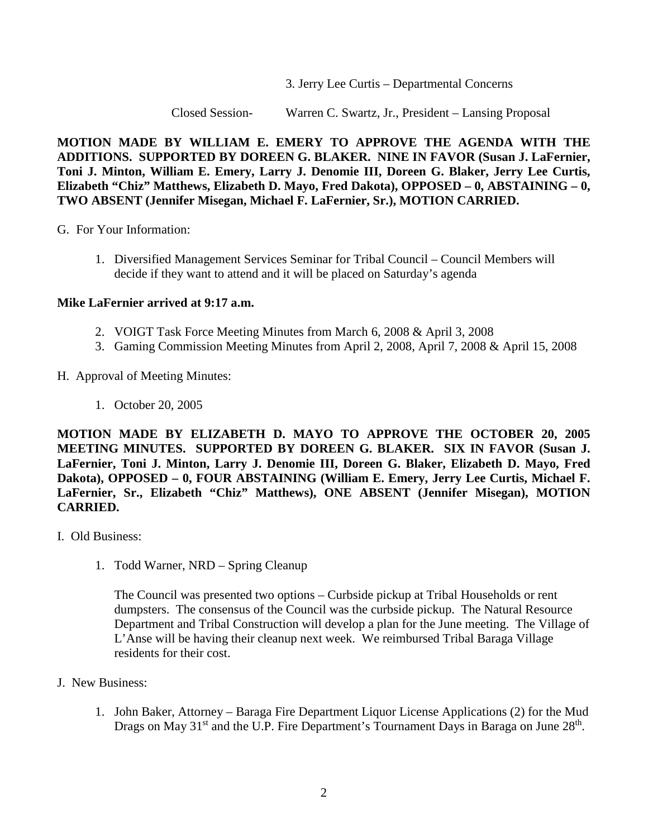3. Jerry Lee Curtis – Departmental Concerns

Closed Session- Warren C. Swartz, Jr., President – Lansing Proposal

**MOTION MADE BY WILLIAM E. EMERY TO APPROVE THE AGENDA WITH THE ADDITIONS. SUPPORTED BY DOREEN G. BLAKER. NINE IN FAVOR (Susan J. LaFernier, Toni J. Minton, William E. Emery, Larry J. Denomie III, Doreen G. Blaker, Jerry Lee Curtis, Elizabeth "Chiz" Matthews, Elizabeth D. Mayo, Fred Dakota), OPPOSED – 0, ABSTAINING – 0, TWO ABSENT (Jennifer Misegan, Michael F. LaFernier, Sr.), MOTION CARRIED.**

G. For Your Information:

1. Diversified Management Services Seminar for Tribal Council – Council Members will decide if they want to attend and it will be placed on Saturday's agenda

## **Mike LaFernier arrived at 9:17 a.m.**

- 2. VOIGT Task Force Meeting Minutes from March 6, 2008 & April 3, 2008
- 3. Gaming Commission Meeting Minutes from April 2, 2008, April 7, 2008 & April 15, 2008
- H. Approval of Meeting Minutes:
	- 1. October 20, 2005

**MOTION MADE BY ELIZABETH D. MAYO TO APPROVE THE OCTOBER 20, 2005 MEETING MINUTES. SUPPORTED BY DOREEN G. BLAKER. SIX IN FAVOR (Susan J. LaFernier, Toni J. Minton, Larry J. Denomie III, Doreen G. Blaker, Elizabeth D. Mayo, Fred Dakota), OPPOSED – 0, FOUR ABSTAINING (William E. Emery, Jerry Lee Curtis, Michael F. LaFernier, Sr., Elizabeth "Chiz" Matthews), ONE ABSENT (Jennifer Misegan), MOTION CARRIED.**

- I. Old Business:
	- 1. Todd Warner, NRD Spring Cleanup

The Council was presented two options – Curbside pickup at Tribal Households or rent dumpsters. The consensus of the Council was the curbside pickup. The Natural Resource Department and Tribal Construction will develop a plan for the June meeting. The Village of L'Anse will be having their cleanup next week. We reimbursed Tribal Baraga Village residents for their cost.

- J. New Business:
	- 1. John Baker, Attorney Baraga Fire Department Liquor License Applications (2) for the Mud Drags on May 31<sup>st</sup> and the U.P. Fire Department's Tournament Days in Baraga on June 28<sup>th</sup>.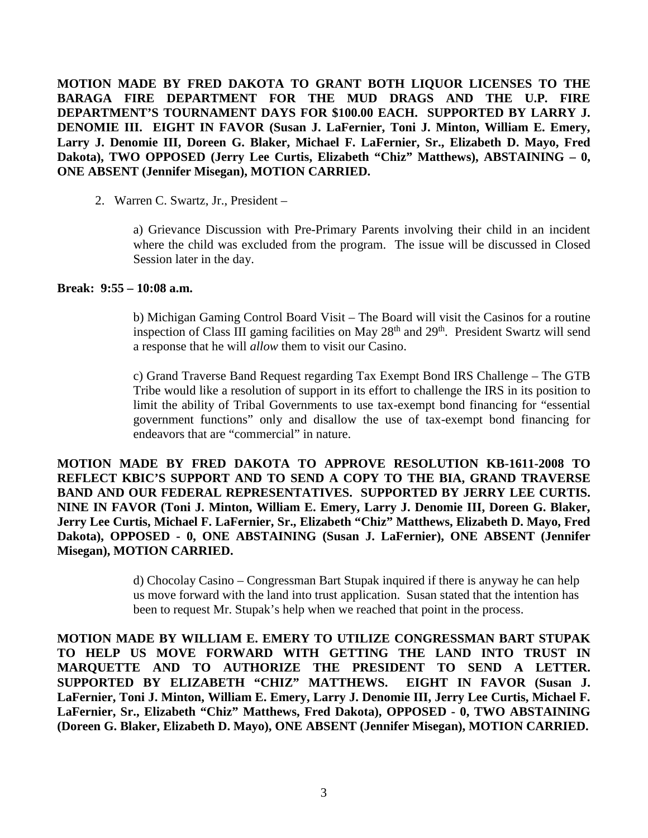**MOTION MADE BY FRED DAKOTA TO GRANT BOTH LIQUOR LICENSES TO THE BARAGA FIRE DEPARTMENT FOR THE MUD DRAGS AND THE U.P. FIRE DEPARTMENT'S TOURNAMENT DAYS FOR \$100.00 EACH. SUPPORTED BY LARRY J. DENOMIE III. EIGHT IN FAVOR (Susan J. LaFernier, Toni J. Minton, William E. Emery, Larry J. Denomie III, Doreen G. Blaker, Michael F. LaFernier, Sr., Elizabeth D. Mayo, Fred Dakota), TWO OPPOSED (Jerry Lee Curtis, Elizabeth "Chiz" Matthews), ABSTAINING – 0, ONE ABSENT (Jennifer Misegan), MOTION CARRIED.**

2. Warren C. Swartz, Jr., President –

a) Grievance Discussion with Pre-Primary Parents involving their child in an incident where the child was excluded from the program. The issue will be discussed in Closed Session later in the day.

## **Break: 9:55 – 10:08 a.m.**

b) Michigan Gaming Control Board Visit – The Board will visit the Casinos for a routine inspection of Class III gaming facilities on May 28<sup>th</sup> and 29<sup>th</sup>. President Swartz will send a response that he will *allow* them to visit our Casino.

c) Grand Traverse Band Request regarding Tax Exempt Bond IRS Challenge – The GTB Tribe would like a resolution of support in its effort to challenge the IRS in its position to limit the ability of Tribal Governments to use tax-exempt bond financing for "essential government functions" only and disallow the use of tax-exempt bond financing for endeavors that are "commercial" in nature.

**MOTION MADE BY FRED DAKOTA TO APPROVE RESOLUTION KB-1611-2008 TO REFLECT KBIC'S SUPPORT AND TO SEND A COPY TO THE BIA, GRAND TRAVERSE BAND AND OUR FEDERAL REPRESENTATIVES. SUPPORTED BY JERRY LEE CURTIS. NINE IN FAVOR (Toni J. Minton, William E. Emery, Larry J. Denomie III, Doreen G. Blaker, Jerry Lee Curtis, Michael F. LaFernier, Sr., Elizabeth "Chiz" Matthews, Elizabeth D. Mayo, Fred Dakota), OPPOSED - 0, ONE ABSTAINING (Susan J. LaFernier), ONE ABSENT (Jennifer Misegan), MOTION CARRIED.**

> d) Chocolay Casino – Congressman Bart Stupak inquired if there is anyway he can help us move forward with the land into trust application. Susan stated that the intention has been to request Mr. Stupak's help when we reached that point in the process.

**MOTION MADE BY WILLIAM E. EMERY TO UTILIZE CONGRESSMAN BART STUPAK TO HELP US MOVE FORWARD WITH GETTING THE LAND INTO TRUST IN MARQUETTE AND TO AUTHORIZE THE PRESIDENT TO SEND A LETTER. SUPPORTED BY ELIZABETH "CHIZ" MATTHEWS. EIGHT IN FAVOR (Susan J. LaFernier, Toni J. Minton, William E. Emery, Larry J. Denomie III, Jerry Lee Curtis, Michael F. LaFernier, Sr., Elizabeth "Chiz" Matthews, Fred Dakota), OPPOSED - 0, TWO ABSTAINING (Doreen G. Blaker, Elizabeth D. Mayo), ONE ABSENT (Jennifer Misegan), MOTION CARRIED.**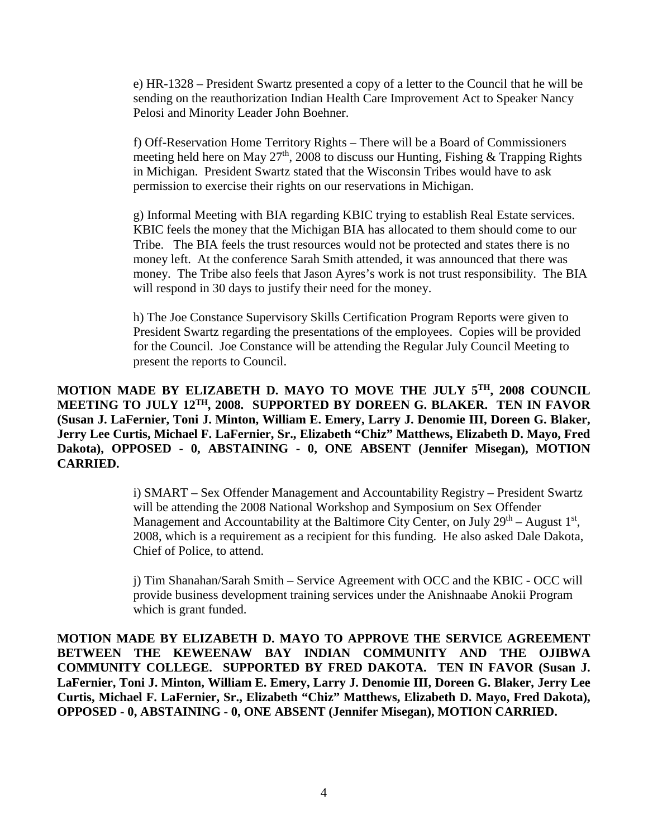e) HR-1328 – President Swartz presented a copy of a letter to the Council that he will be sending on the reauthorization Indian Health Care Improvement Act to Speaker Nancy Pelosi and Minority Leader John Boehner.

f) Off-Reservation Home Territory Rights – There will be a Board of Commissioners meeting held here on May  $27<sup>th</sup>$ , 2008 to discuss our Hunting, Fishing & Trapping Rights in Michigan. President Swartz stated that the Wisconsin Tribes would have to ask permission to exercise their rights on our reservations in Michigan.

g) Informal Meeting with BIA regarding KBIC trying to establish Real Estate services. KBIC feels the money that the Michigan BIA has allocated to them should come to our Tribe. The BIA feels the trust resources would not be protected and states there is no money left. At the conference Sarah Smith attended, it was announced that there was money. The Tribe also feels that Jason Ayres's work is not trust responsibility. The BIA will respond in 30 days to justify their need for the money.

h) The Joe Constance Supervisory Skills Certification Program Reports were given to President Swartz regarding the presentations of the employees. Copies will be provided for the Council. Joe Constance will be attending the Regular July Council Meeting to present the reports to Council.

**MOTION MADE BY ELIZABETH D. MAYO TO MOVE THE JULY 5TH, 2008 COUNCIL MEETING TO JULY 12TH, 2008. SUPPORTED BY DOREEN G. BLAKER. TEN IN FAVOR (Susan J. LaFernier, Toni J. Minton, William E. Emery, Larry J. Denomie III, Doreen G. Blaker, Jerry Lee Curtis, Michael F. LaFernier, Sr., Elizabeth "Chiz" Matthews, Elizabeth D. Mayo, Fred Dakota), OPPOSED - 0, ABSTAINING - 0, ONE ABSENT (Jennifer Misegan), MOTION CARRIED.**

> i) SMART – Sex Offender Management and Accountability Registry – President Swartz will be attending the 2008 National Workshop and Symposium on Sex Offender Management and Accountability at the Baltimore City Center, on July  $29<sup>th</sup>$  – August  $1<sup>st</sup>$ , 2008, which is a requirement as a recipient for this funding. He also asked Dale Dakota, Chief of Police, to attend.

> j) Tim Shanahan/Sarah Smith – Service Agreement with OCC and the KBIC - OCC will provide business development training services under the Anishnaabe Anokii Program which is grant funded.

**MOTION MADE BY ELIZABETH D. MAYO TO APPROVE THE SERVICE AGREEMENT BETWEEN THE KEWEENAW BAY INDIAN COMMUNITY AND THE OJIBWA COMMUNITY COLLEGE. SUPPORTED BY FRED DAKOTA. TEN IN FAVOR (Susan J. LaFernier, Toni J. Minton, William E. Emery, Larry J. Denomie III, Doreen G. Blaker, Jerry Lee Curtis, Michael F. LaFernier, Sr., Elizabeth "Chiz" Matthews, Elizabeth D. Mayo, Fred Dakota), OPPOSED - 0, ABSTAINING - 0, ONE ABSENT (Jennifer Misegan), MOTION CARRIED.**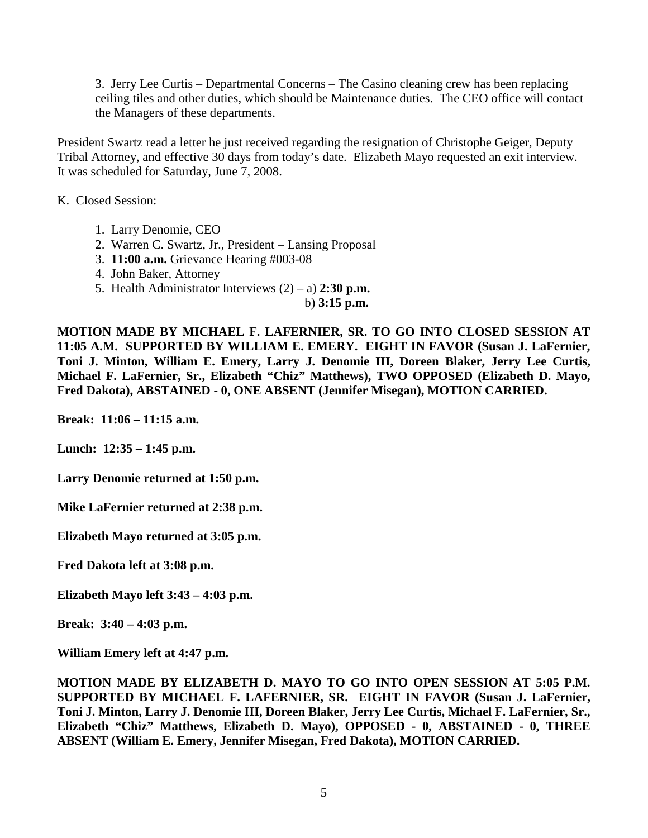3. Jerry Lee Curtis – Departmental Concerns – The Casino cleaning crew has been replacing ceiling tiles and other duties, which should be Maintenance duties. The CEO office will contact the Managers of these departments.

President Swartz read a letter he just received regarding the resignation of Christophe Geiger, Deputy Tribal Attorney, and effective 30 days from today's date. Elizabeth Mayo requested an exit interview. It was scheduled for Saturday, June 7, 2008.

K. Closed Session:

- 1. Larry Denomie, CEO
- 2. Warren C. Swartz, Jr., President Lansing Proposal
- 3. **11:00 a.m.** Grievance Hearing #003-08
- 4. John Baker, Attorney
- 5. Health Administrator Interviews (2) a) **2:30 p.m.**

b) **3:15 p.m.**

**MOTION MADE BY MICHAEL F. LAFERNIER, SR. TO GO INTO CLOSED SESSION AT 11:05 A.M. SUPPORTED BY WILLIAM E. EMERY. EIGHT IN FAVOR (Susan J. LaFernier, Toni J. Minton, William E. Emery, Larry J. Denomie III, Doreen Blaker, Jerry Lee Curtis, Michael F. LaFernier, Sr., Elizabeth "Chiz" Matthews), TWO OPPOSED (Elizabeth D. Mayo, Fred Dakota), ABSTAINED - 0, ONE ABSENT (Jennifer Misegan), MOTION CARRIED.** 

**Break: 11:06 – 11:15 a.m.**

**Lunch: 12:35 – 1:45 p.m.**

**Larry Denomie returned at 1:50 p.m.**

**Mike LaFernier returned at 2:38 p.m.**

**Elizabeth Mayo returned at 3:05 p.m.**

**Fred Dakota left at 3:08 p.m.**

**Elizabeth Mayo left 3:43 – 4:03 p.m.**

**Break: 3:40 – 4:03 p.m.**

**William Emery left at 4:47 p.m.**

**MOTION MADE BY ELIZABETH D. MAYO TO GO INTO OPEN SESSION AT 5:05 P.M. SUPPORTED BY MICHAEL F. LAFERNIER, SR. EIGHT IN FAVOR (Susan J. LaFernier, Toni J. Minton, Larry J. Denomie III, Doreen Blaker, Jerry Lee Curtis, Michael F. LaFernier, Sr., Elizabeth "Chiz" Matthews, Elizabeth D. Mayo), OPPOSED - 0, ABSTAINED - 0, THREE ABSENT (William E. Emery, Jennifer Misegan, Fred Dakota), MOTION CARRIED.**